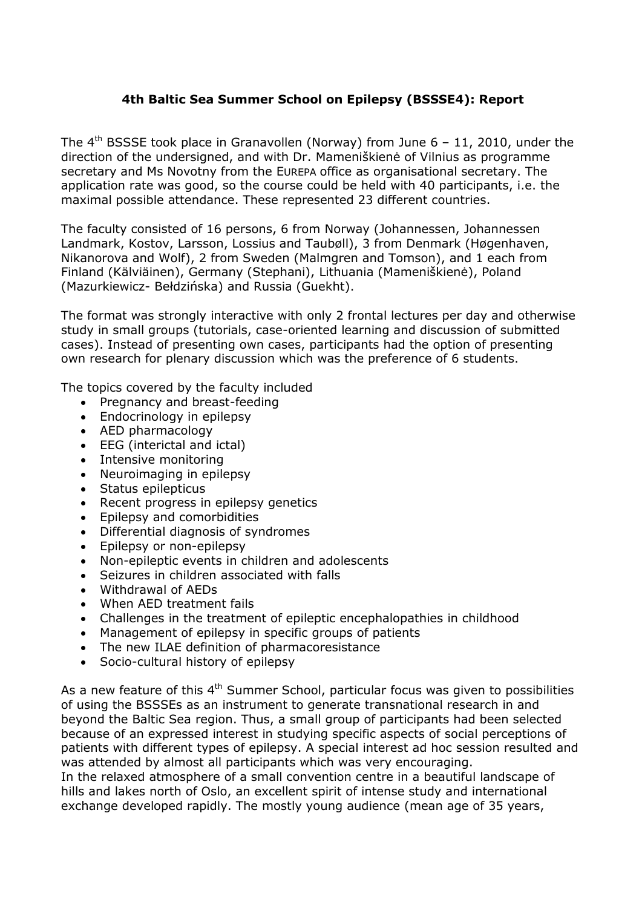## **4th Baltic Sea Summer School on Epilepsy (BSSSE4): Report**

The  $4<sup>th</sup>$  BSSSE took place in Granavollen (Norway) from June  $6 - 11$ , 2010, under the direction of the undersigned, and with Dr. Mameniškienė of Vilnius as programme secretary and Ms Novotny from the EUREPA office as organisational secretary. The application rate was good, so the course could be held with 40 participants, i.e. the maximal possible attendance. These represented 23 different countries.

The faculty consisted of 16 persons, 6 from Norway (Johannessen, Johannessen Landmark, Kostov, Larsson, Lossius and Taubøll), 3 from Denmark (Høgenhaven, Nikanorova and Wolf), 2 from Sweden (Malmgren and Tomson), and 1 each from Finland (Kälviäinen), Germany (Stephani), Lithuania (Mameniškienė), Poland (Mazurkiewicz- Bełdzińska) and Russia (Guekht).

The format was strongly interactive with only 2 frontal lectures per day and otherwise study in small groups (tutorials, case-oriented learning and discussion of submitted cases). Instead of presenting own cases, participants had the option of presenting own research for plenary discussion which was the preference of 6 students.

The topics covered by the faculty included

- Pregnancy and breast-feeding
- Endocrinology in epilepsy
- AED pharmacology
- EEG (interictal and ictal)
- Intensive monitoring
- Neuroimaging in epilepsy
- Status epilepticus
- Recent progress in epilepsy genetics
- Epilepsy and comorbidities
- Differential diagnosis of syndromes
- Epilepsy or non-epilepsy
- Non-epileptic events in children and adolescents
- Seizures in children associated with falls
- Withdrawal of AEDs
- When AED treatment fails
- Challenges in the treatment of epileptic encephalopathies in childhood
- Management of epilepsy in specific groups of patients
- The new ILAE definition of pharmacoresistance
- Socio-cultural history of epilepsy

As a new feature of this  $4<sup>th</sup>$  Summer School, particular focus was given to possibilities of using the BSSSEs as an instrument to generate transnational research in and beyond the Baltic Sea region. Thus, a small group of participants had been selected because of an expressed interest in studying specific aspects of social perceptions of patients with different types of epilepsy. A special interest ad hoc session resulted and was attended by almost all participants which was very encouraging.

In the relaxed atmosphere of a small convention centre in a beautiful landscape of hills and lakes north of Oslo, an excellent spirit of intense study and international exchange developed rapidly. The mostly young audience (mean age of 35 years,